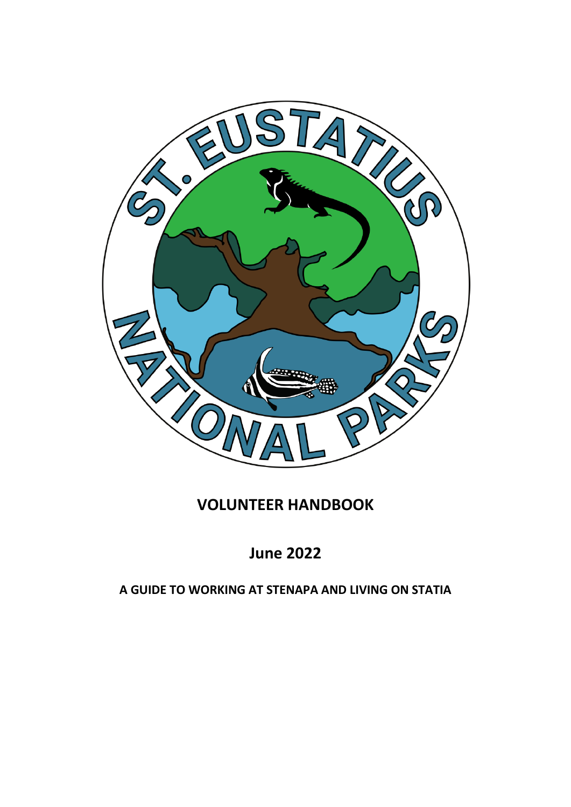

# **VOLUNTEER HANDBOOK**

# **June 2022**

# **A GUIDE TO WORKING AT STENAPA AND LIVING ON STATIA**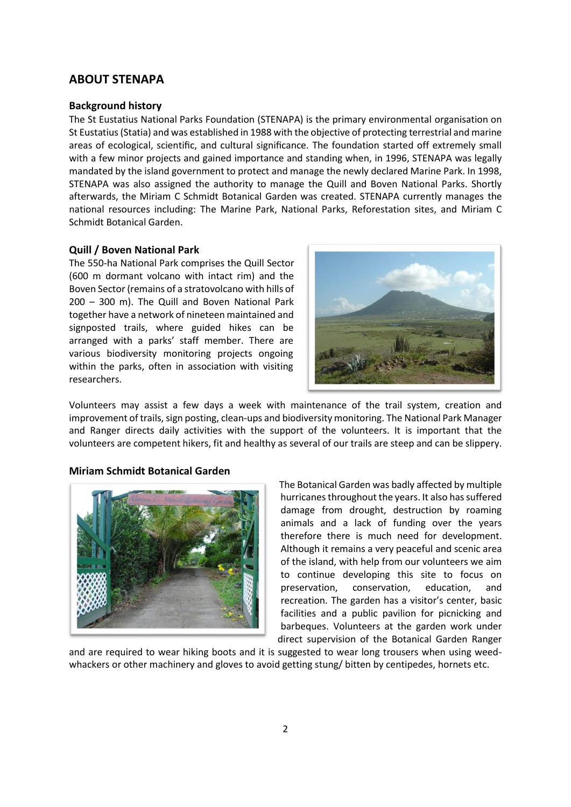# **ABOUT STENAPA**

#### **Background history**

The St Eustatius National Parks Foundation (STENAPA) is the primary environmental organisation on St Eustatius (Statia) and was established in 1988 with the objective of protecting terrestrial and marine areas of ecological, scientific, and cultural significance. The foundation started off extremely small with a few minor projects and gained importance and standing when, in 1996, STENAPA was legally mandated by the island government to protect and manage the newly declared Marine Park. In 1998, STENAPA was also assigned the authority to manage the Quill and Boven National Parks. Shortly afterwards, the Miriam C Schmidt Botanical Garden was created. STENAPA currently manages the national resources including: The Marine Park, National Parks, Reforestation sites, and Miriam C Schmidt Botanical Garden.

#### **Quill / Boven National Park**

The 550-ha National Park comprises the Quill Sector (600 m dormant volcano with intact rim) and the Boven Sector (remains of a stratovolcano with hills of 200 – 300 m). The Quill and Boven National Park together have a network of nineteen maintained and signposted trails, where guided hikes can be arranged with a parks' staff member. There are various biodiversity monitoring projects ongoing within the parks, often in association with visiting researchers.



Volunteers may assist a few days a week with maintenance of the trail system, creation and improvement of trails, sign posting, clean-ups and biodiversity monitoring. The National Park Manager and Ranger directs daily activities with the support of the volunteers. It is important that the volunteers are competent hikers, fit and healthy as several of our trails are steep and can be slippery.

#### **Miriam Schmidt Botanical Garden**



The Botanical Garden was badly affected by multiple hurricanes throughout the years. It also has suffered damage from drought, destruction by roaming animals and a lack of funding over the years therefore there is much need for development. Although it remains a very peaceful and scenic area of the island, with help from our volunteers we aim to continue developing this site to focus on preservation, conservation, education, and recreation. The garden has a visitor's center, basic facilities and a public pavilion for picnicking and barbeques. Volunteers at the garden work under direct supervision of the Botanical Garden Ranger

and are required to wear hiking boots and it is suggested to wear long trousers when using weedwhackers or other machinery and gloves to avoid getting stung/ bitten by centipedes, hornets etc.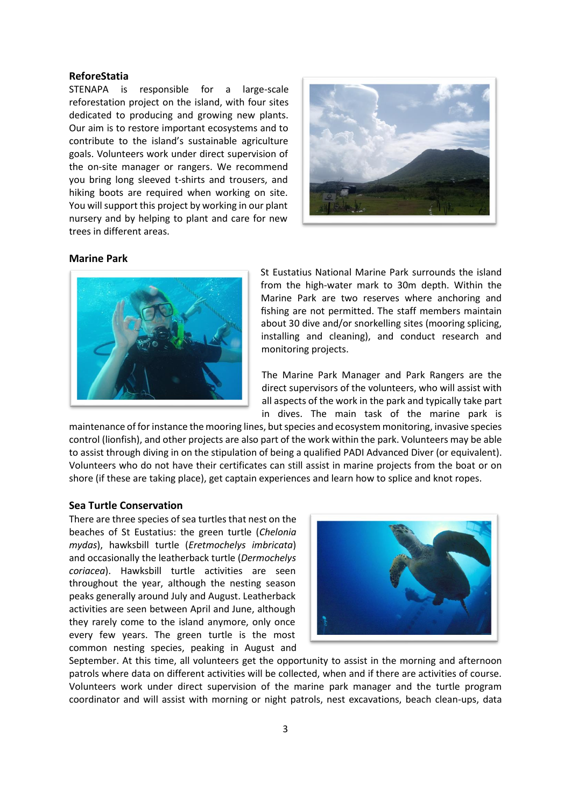# **ReforeStatia**

STENAPA is responsible for a large-scale reforestation project on the island, with four sites dedicated to producing and growing new plants. Our aim is to restore important ecosystems and to contribute to the island's sustainable agriculture goals. Volunteers work under direct supervision of the on-site manager or rangers. We recommend you bring long sleeved t-shirts and trousers, and hiking boots are required when working on site. You will support this project by working in our plant nursery and by helping to plant and care for new trees in different areas.



## **Marine Park**



St Eustatius National Marine Park surrounds the island from the high-water mark to 30m depth. Within the Marine Park are two reserves where anchoring and fishing are not permitted. The staff members maintain about 30 dive and/or snorkelling sites (mooring splicing, installing and cleaning), and conduct research and monitoring projects.

The Marine Park Manager and Park Rangers are the direct supervisors of the volunteers, who will assist with all aspects of the work in the park and typically take part in dives. The main task of the marine park is

maintenance of for instance the mooring lines, but species and ecosystem monitoring, invasive species control (lionfish), and other projects are also part of the work within the park. Volunteers may be able to assist through diving in on the stipulation of being a qualified PADI Advanced Diver (or equivalent). Volunteers who do not have their certificates can still assist in marine projects from the boat or on shore (if these are taking place), get captain experiences and learn how to splice and knot ropes.

#### **Sea Turtle Conservation**

There are three species of sea turtles that nest on the beaches of St Eustatius: the green turtle (*Chelonia mydas*), hawksbill turtle (*Eretmochelys imbricata*) and occasionally the leatherback turtle (*Dermochelys coriacea*). Hawksbill turtle activities are seen throughout the year, although the nesting season peaks generally around July and August. Leatherback activities are seen between April and June, although they rarely come to the island anymore, only once every few years. The green turtle is the most common nesting species, peaking in August and



September. At this time, all volunteers get the opportunity to assist in the morning and afternoon patrols where data on different activities will be collected, when and if there are activities of course. Volunteers work under direct supervision of the marine park manager and the turtle program coordinator and will assist with morning or night patrols, nest excavations, beach clean-ups, data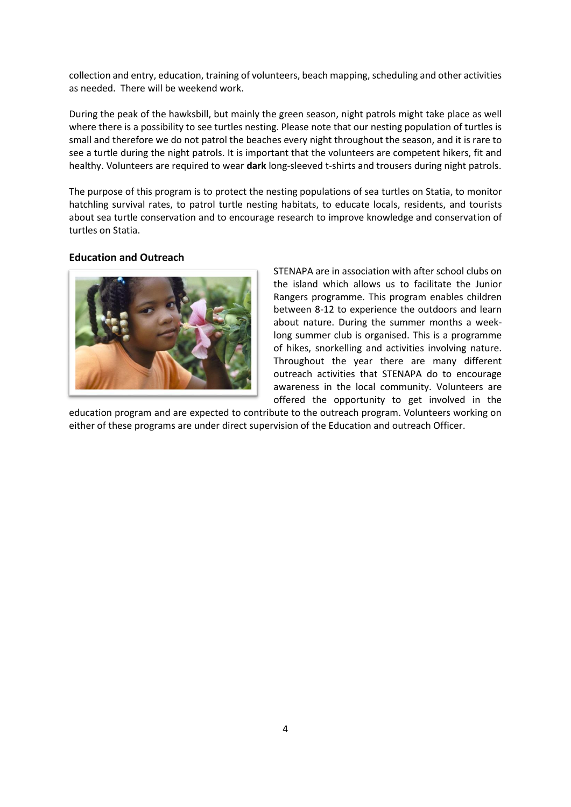collection and entry, education, training of volunteers, beach mapping, scheduling and other activities as needed. There will be weekend work.

During the peak of the hawksbill, but mainly the green season, night patrols might take place as well where there is a possibility to see turtles nesting. Please note that our nesting population of turtles is small and therefore we do not patrol the beaches every night throughout the season, and it is rare to see a turtle during the night patrols. It is important that the volunteers are competent hikers, fit and healthy. Volunteers are required to wear **dark** long-sleeved t-shirts and trousers during night patrols.

The purpose of this program is to protect the nesting populations of sea turtles on Statia, to monitor hatchling survival rates, to patrol turtle nesting habitats, to educate locals, residents, and tourists about sea turtle conservation and to encourage research to improve knowledge and conservation of turtles on Statia.

## **Education and Outreach**



STENAPA are in association with after school clubs on the island which allows us to facilitate the Junior Rangers programme. This program enables children between 8-12 to experience the outdoors and learn about nature. During the summer months a weeklong summer club is organised. This is a programme of hikes, snorkelling and activities involving nature. Throughout the year there are many different outreach activities that STENAPA do to encourage awareness in the local community. Volunteers are offered the opportunity to get involved in the

education program and are expected to contribute to the outreach program. Volunteers working on either of these programs are under direct supervision of the Education and outreach Officer.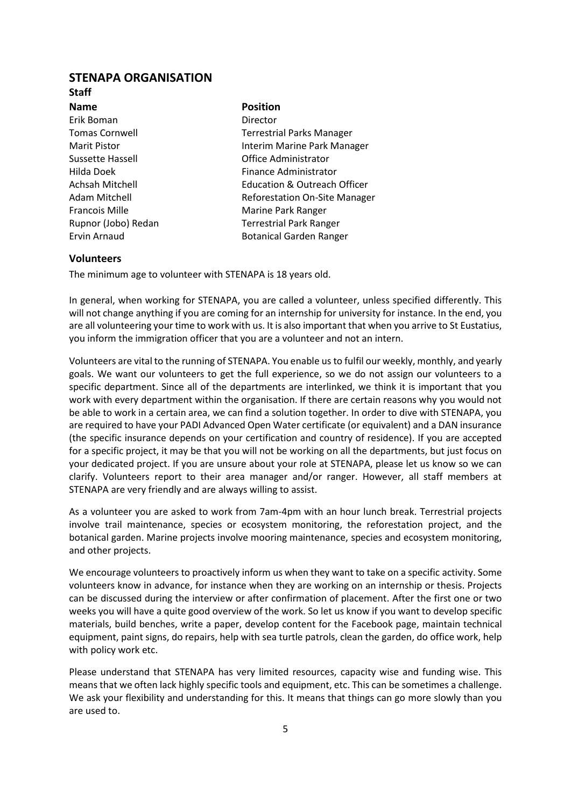# **STENAPA ORGANISATION**

# **Staff**

**Name Position** Erik Boman Director

Tomas Cornwell Terrestrial Parks Manager Marit Pistor **Interim Marine Park Manager** Sussette Hassell Office Administrator Hilda Doek Finance Administrator Achsah Mitchell Education & Outreach Officer Adam Mitchell **Reforestation On-Site Manager** Francois Mille **Marine Park Ranger** Marine Park Ranger Rupnor (Jobo) Redan Terrestrial Park Ranger Ervin Arnaud **Botanical Garden Ranger** Botanical Garden Ranger

## **Volunteers**

The minimum age to volunteer with STENAPA is 18 years old.

In general, when working for STENAPA, you are called a volunteer, unless specified differently. This will not change anything if you are coming for an internship for university for instance. In the end, you are all volunteering your time to work with us. It is also important that when you arrive to St Eustatius, you inform the immigration officer that you are a volunteer and not an intern.

Volunteers are vital to the running of STENAPA. You enable us to fulfil our weekly, monthly, and yearly goals. We want our volunteers to get the full experience, so we do not assign our volunteers to a specific department. Since all of the departments are interlinked, we think it is important that you work with every department within the organisation. If there are certain reasons why you would not be able to work in a certain area, we can find a solution together. In order to dive with STENAPA, you are required to have your PADI Advanced Open Water certificate (or equivalent) and a DAN insurance (the specific insurance depends on your certification and country of residence). If you are accepted for a specific project, it may be that you will not be working on all the departments, but just focus on your dedicated project. If you are unsure about your role at STENAPA, please let us know so we can clarify. Volunteers report to their area manager and/or ranger. However, all staff members at STENAPA are very friendly and are always willing to assist.

As a volunteer you are asked to work from 7am-4pm with an hour lunch break. Terrestrial projects involve trail maintenance, species or ecosystem monitoring, the reforestation project, and the botanical garden. Marine projects involve mooring maintenance, species and ecosystem monitoring, and other projects.

We encourage volunteers to proactively inform us when they want to take on a specific activity. Some volunteers know in advance, for instance when they are working on an internship or thesis. Projects can be discussed during the interview or after confirmation of placement. After the first one or two weeks you will have a quite good overview of the work. So let us know if you want to develop specific materials, build benches, write a paper, develop content for the Facebook page, maintain technical equipment, paint signs, do repairs, help with sea turtle patrols, clean the garden, do office work, help with policy work etc.

Please understand that STENAPA has very limited resources, capacity wise and funding wise. This means that we often lack highly specific tools and equipment, etc. This can be sometimes a challenge. We ask your flexibility and understanding for this. It means that things can go more slowly than you are used to.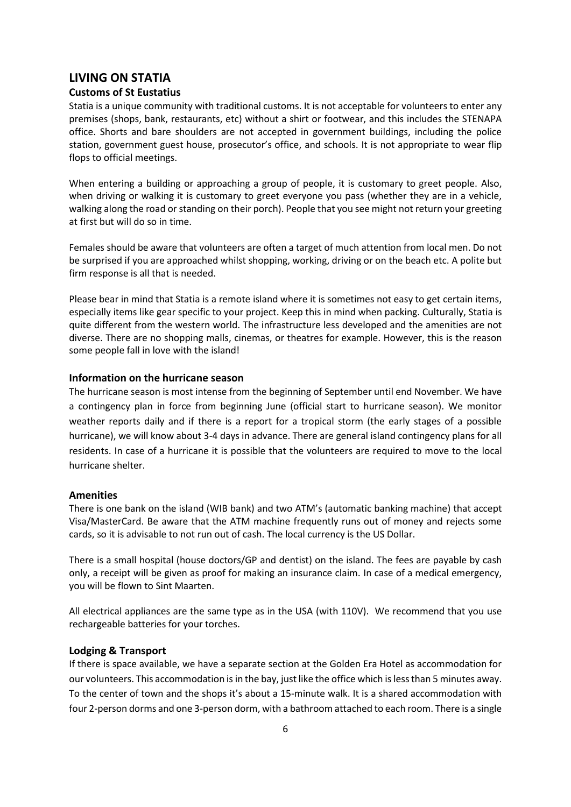# **LIVING ON STATIA**

# **Customs of St Eustatius**

Statia is a unique community with traditional customs. It is not acceptable for volunteers to enter any premises (shops, bank, restaurants, etc) without a shirt or footwear, and this includes the STENAPA office. Shorts and bare shoulders are not accepted in government buildings, including the police station, government guest house, prosecutor's office, and schools. It is not appropriate to wear flip flops to official meetings.

When entering a building or approaching a group of people, it is customary to greet people. Also, when driving or walking it is customary to greet everyone you pass (whether they are in a vehicle, walking along the road or standing on their porch). People that you see might not return your greeting at first but will do so in time.

Females should be aware that volunteers are often a target of much attention from local men. Do not be surprised if you are approached whilst shopping, working, driving or on the beach etc. A polite but firm response is all that is needed.

Please bear in mind that Statia is a remote island where it is sometimes not easy to get certain items, especially items like gear specific to your project. Keep this in mind when packing. Culturally, Statia is quite different from the western world. The infrastructure less developed and the amenities are not diverse. There are no shopping malls, cinemas, or theatres for example. However, this is the reason some people fall in love with the island!

# **Information on the hurricane season**

The hurricane season is most intense from the beginning of September until end November. We have a contingency plan in force from beginning June (official start to hurricane season). We monitor weather reports daily and if there is a report for a tropical storm (the early stages of a possible hurricane), we will know about 3-4 days in advance. There are general island contingency plans for all residents. In case of a hurricane it is possible that the volunteers are required to move to the local hurricane shelter.

#### **Amenities**

There is one bank on the island (WIB bank) and two ATM's (automatic banking machine) that accept Visa/MasterCard. Be aware that the ATM machine frequently runs out of money and rejects some cards, so it is advisable to not run out of cash. The local currency is the US Dollar.

There is a small hospital (house doctors/GP and dentist) on the island. The fees are payable by cash only, a receipt will be given as proof for making an insurance claim. In case of a medical emergency, you will be flown to Sint Maarten.

All electrical appliances are the same type as in the USA (with 110V). We recommend that you use rechargeable batteries for your torches.

#### **Lodging & Transport**

If there is space available, we have a separate section at the Golden Era Hotel as accommodation for our volunteers. This accommodation is in the bay, just like the office which is less than 5 minutes away. To the center of town and the shops it's about a 15-minute walk. It is a shared accommodation with four 2-person dorms and one 3-person dorm, with a bathroom attached to each room. There is a single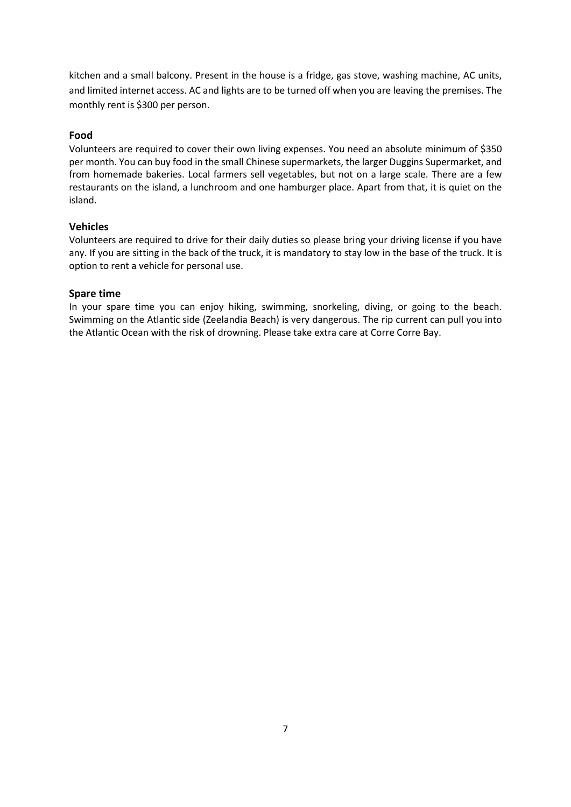kitchen and a small balcony. Present in the house is a fridge, gas stove, washing machine, AC units, and limited internet access. AC and lights are to be turned off when you are leaving the premises. The monthly rent is \$300 per person.

# **Food**

Volunteers are required to cover their own living expenses. You need an absolute minimum of \$350 per month. You can buy food in the small Chinese supermarkets, the larger Duggins Supermarket, and from homemade bakeries. Local farmers sell vegetables, but not on a large scale. There are a few restaurants on the island, a lunchroom and one hamburger place. Apart from that, it is quiet on the island.

# **Vehicles**

Volunteers are required to drive for their daily duties so please bring your driving license if you have any. If you are sitting in the back of the truck, it is mandatory to stay low in the base of the truck. It is option to rent a vehicle for personal use.

# **Spare time**

In your spare time you can enjoy hiking, swimming, snorkeling, diving, or going to the beach. Swimming on the Atlantic side (Zeelandia Beach) is very dangerous. The rip current can pull you into the Atlantic Ocean with the risk of drowning. Please take extra care at Corre Corre Bay.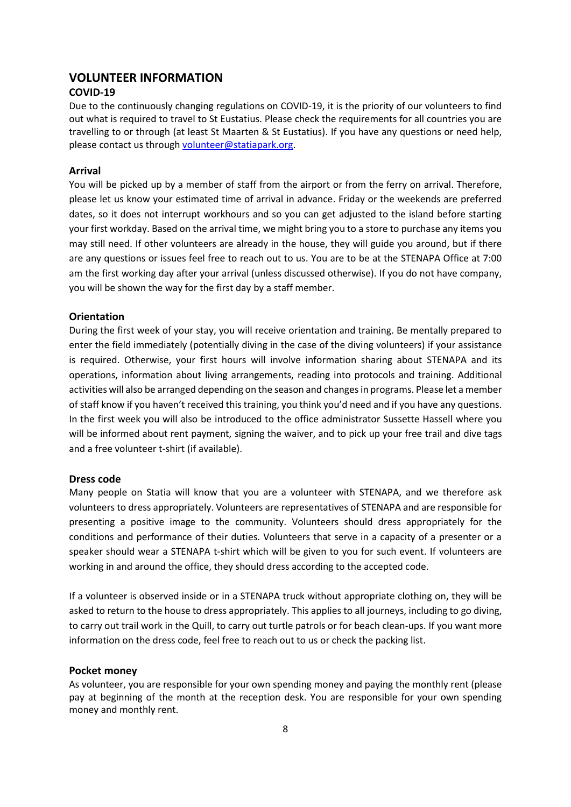# **VOLUNTEER INFORMATION**

# **COVID-19**

Due to the continuously changing regulations on COVID-19, it is the priority of our volunteers to find out what is required to travel to St Eustatius. Please check the requirements for all countries you are travelling to or through (at least St Maarten & St Eustatius). If you have any questions or need help, please contact us through [volunteer@statiapark.org.](mailto:volunteer@statiapark.org)

#### **Arrival**

You will be picked up by a member of staff from the airport or from the ferry on arrival. Therefore, please let us know your estimated time of arrival in advance. Friday or the weekends are preferred dates, so it does not interrupt workhours and so you can get adjusted to the island before starting your first workday. Based on the arrival time, we might bring you to a store to purchase any items you may still need. If other volunteers are already in the house, they will guide you around, but if there are any questions or issues feel free to reach out to us. You are to be at the STENAPA Office at 7:00 am the first working day after your arrival (unless discussed otherwise). If you do not have company, you will be shown the way for the first day by a staff member.

## **Orientation**

During the first week of your stay, you will receive orientation and training. Be mentally prepared to enter the field immediately (potentially diving in the case of the diving volunteers) if your assistance is required. Otherwise, your first hours will involve information sharing about STENAPA and its operations, information about living arrangements, reading into protocols and training. Additional activities will also be arranged depending on the season and changes in programs. Please let a member of staff know if you haven't received this training, you think you'd need and if you have any questions. In the first week you will also be introduced to the office administrator Sussette Hassell where you will be informed about rent payment, signing the waiver, and to pick up your free trail and dive tags and a free volunteer t-shirt (if available).

#### **Dress code**

Many people on Statia will know that you are a volunteer with STENAPA, and we therefore ask volunteers to dress appropriately. Volunteers are representatives of STENAPA and are responsible for presenting a positive image to the community. Volunteers should dress appropriately for the conditions and performance of their duties. Volunteers that serve in a capacity of a presenter or a speaker should wear a STENAPA t-shirt which will be given to you for such event. If volunteers are working in and around the office, they should dress according to the accepted code.

If a volunteer is observed inside or in a STENAPA truck without appropriate clothing on, they will be asked to return to the house to dress appropriately. This applies to all journeys, including to go diving, to carry out trail work in the Quill, to carry out turtle patrols or for beach clean-ups. If you want more information on the dress code, feel free to reach out to us or check the packing list.

# **Pocket money**

As volunteer, you are responsible for your own spending money and paying the monthly rent (please pay at beginning of the month at the reception desk. You are responsible for your own spending money and monthly rent.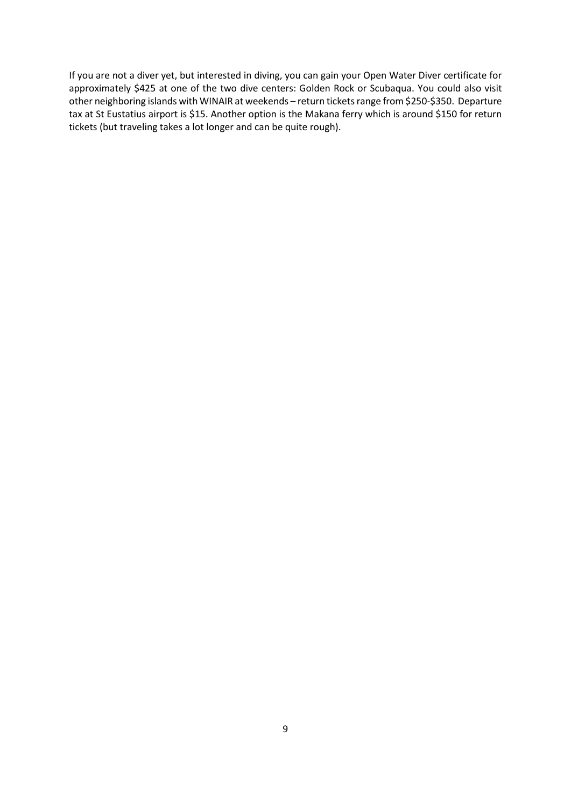If you are not a diver yet, but interested in diving, you can gain your Open Water Diver certificate for approximately \$425 at one of the two dive centers: Golden Rock or Scubaqua. You could also visit other neighboring islands with WINAIR at weekends – return tickets range from \$250-\$350. Departure tax at St Eustatius airport is \$15. Another option is the Makana ferry which is around \$150 for return tickets (but traveling takes a lot longer and can be quite rough).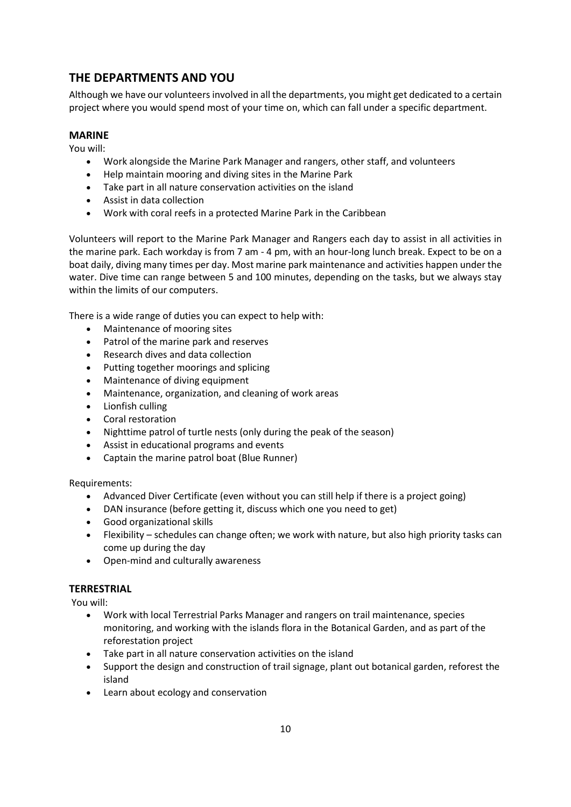# **THE DEPARTMENTS AND YOU**

Although we have our volunteers involved in all the departments, you might get dedicated to a certain project where you would spend most of your time on, which can fall under a specific department.

# **MARINE**

You will:

- Work alongside the Marine Park Manager and rangers, other staff, and volunteers
- Help maintain mooring and diving sites in the Marine Park
- Take part in all nature conservation activities on the island
- Assist in data collection
- Work with coral reefs in a protected Marine Park in the Caribbean

Volunteers will report to the Marine Park Manager and Rangers each day to assist in all activities in the marine park. Each workday is from 7 am - 4 pm, with an hour-long lunch break. Expect to be on a boat daily, diving many times per day. Most marine park maintenance and activities happen under the water. Dive time can range between 5 and 100 minutes, depending on the tasks, but we always stay within the limits of our computers.

There is a wide range of duties you can expect to help with:

- Maintenance of mooring sites
- Patrol of the marine park and reserves
- Research dives and data collection
- Putting together moorings and splicing
- Maintenance of diving equipment
- Maintenance, organization, and cleaning of work areas
- Lionfish culling
- Coral restoration
- Nighttime patrol of turtle nests (only during the peak of the season)
- Assist in educational programs and events
- Captain the marine patrol boat (Blue Runner)

Requirements:

- Advanced Diver Certificate (even without you can still help if there is a project going)
- DAN insurance (before getting it, discuss which one you need to get)
- Good organizational skills
- Flexibility schedules can change often; we work with nature, but also high priority tasks can come up during the day
- Open-mind and culturally awareness

# **TERRESTRIAL**

You will:

- Work with local Terrestrial Parks Manager and rangers on trail maintenance, species monitoring, and working with the islands flora in the Botanical Garden, and as part of the reforestation project
- Take part in all nature conservation activities on the island
- Support the design and construction of trail signage, plant out botanical garden, reforest the island
- Learn about ecology and conservation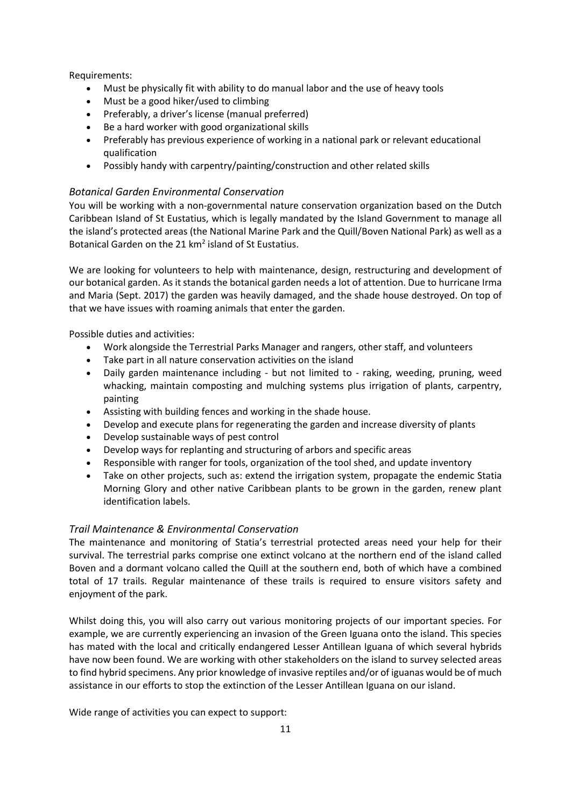Requirements:

- Must be physically fit with ability to do manual labor and the use of heavy tools
- Must be a good hiker/used to climbing
- Preferably, a driver's license (manual preferred)
- Be a hard worker with good organizational skills
- Preferably has previous experience of working in a national park or relevant educational qualification
- Possibly handy with carpentry/painting/construction and other related skills

# *Botanical Garden Environmental Conservation*

You will be working with a non-governmental nature conservation organization based on the Dutch Caribbean Island of St Eustatius, which is legally mandated by the Island Government to manage all the island's protected areas (the National Marine Park and the Quill/Boven National Park) as well as a Botanical Garden on the 21 km<sup>2</sup> island of St Eustatius.

We are looking for volunteers to help with maintenance, design, restructuring and development of our botanical garden. As it stands the botanical garden needs a lot of attention. Due to hurricane Irma and Maria (Sept. 2017) the garden was heavily damaged, and the shade house destroyed. On top of that we have issues with roaming animals that enter the garden.

Possible duties and activities:

- Work alongside the Terrestrial Parks Manager and rangers, other staff, and volunteers
- Take part in all nature conservation activities on the island
- Daily garden maintenance including but not limited to raking, weeding, pruning, weed whacking, maintain composting and mulching systems plus irrigation of plants, carpentry, painting
- Assisting with building fences and working in the shade house.
- Develop and execute plans for regenerating the garden and increase diversity of plants
- Develop sustainable ways of pest control
- Develop ways for replanting and structuring of arbors and specific areas
- Responsible with ranger for tools, organization of the tool shed, and update inventory
- Take on other projects, such as: extend the irrigation system, propagate the endemic Statia Morning Glory and other native Caribbean plants to be grown in the garden, renew plant identification labels.

# *Trail Maintenance & Environmental Conservation*

The maintenance and monitoring of Statia's terrestrial protected areas need your help for their survival. The terrestrial parks comprise one extinct volcano at the northern end of the island called Boven and a dormant volcano called the Quill at the southern end, both of which have a combined total of 17 trails. Regular maintenance of these trails is required to ensure visitors safety and enjoyment of the park.

Whilst doing this, you will also carry out various monitoring projects of our important species. For example, we are currently experiencing an invasion of the Green Iguana onto the island. This species has mated with the local and critically endangered Lesser Antillean Iguana of which several hybrids have now been found. We are working with other stakeholders on the island to survey selected areas to find hybrid specimens. Any prior knowledge of invasive reptiles and/or of iguanas would be of much assistance in our efforts to stop the extinction of the Lesser Antillean Iguana on our island.

Wide range of activities you can expect to support: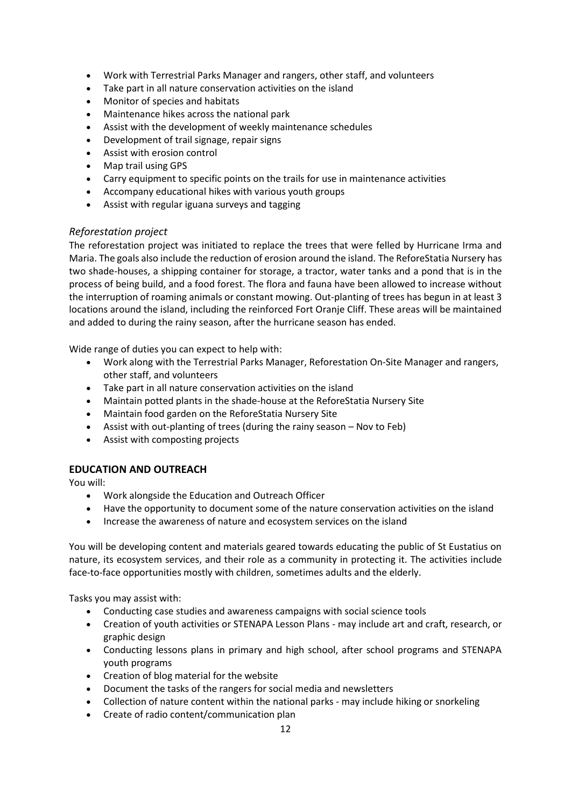- Work with Terrestrial Parks Manager and rangers, other staff, and volunteers
- Take part in all nature conservation activities on the island
- Monitor of species and habitats
- Maintenance hikes across the national park
- Assist with the development of weekly maintenance schedules
- Development of trail signage, repair signs
- Assist with erosion control
- Map trail using GPS
- Carry equipment to specific points on the trails for use in maintenance activities
- Accompany educational hikes with various youth groups
- Assist with regular iguana surveys and tagging

# *Reforestation project*

The reforestation project was initiated to replace the trees that were felled by Hurricane Irma and Maria. The goals also include the reduction of erosion around the island. The ReforeStatia Nursery has two shade-houses, a shipping container for storage, a tractor, water tanks and a pond that is in the process of being build, and a food forest. The flora and fauna have been allowed to increase without the interruption of roaming animals or constant mowing. Out-planting of trees has begun in at least 3 locations around the island, including the reinforced Fort Oranje Cliff. These areas will be maintained and added to during the rainy season, after the hurricane season has ended.

Wide range of duties you can expect to help with:

- Work along with the Terrestrial Parks Manager, Reforestation On-Site Manager and rangers, other staff, and volunteers
- Take part in all nature conservation activities on the island
- Maintain potted plants in the shade-house at the ReforeStatia Nursery Site
- Maintain food garden on the ReforeStatia Nursery Site
- Assist with out-planting of trees (during the rainy season Nov to Feb)
- Assist with composting projects

# **EDUCATION AND OUTREACH**

You will:

- Work alongside the Education and Outreach Officer
- Have the opportunity to document some of the nature conservation activities on the island
- Increase the awareness of nature and ecosystem services on the island

You will be developing content and materials geared towards educating the public of St Eustatius on nature, its ecosystem services, and their role as a community in protecting it. The activities include face-to-face opportunities mostly with children, sometimes adults and the elderly.

Tasks you may assist with:

- Conducting case studies and awareness campaigns with social science tools
- Creation of youth activities or STENAPA Lesson Plans may include art and craft, research, or graphic design
- Conducting lessons plans in primary and high school, after school programs and STENAPA youth programs
- Creation of blog material for the website
- Document the tasks of the rangers for social media and newsletters
- Collection of nature content within the national parks may include hiking or snorkeling
- Create of radio content/communication plan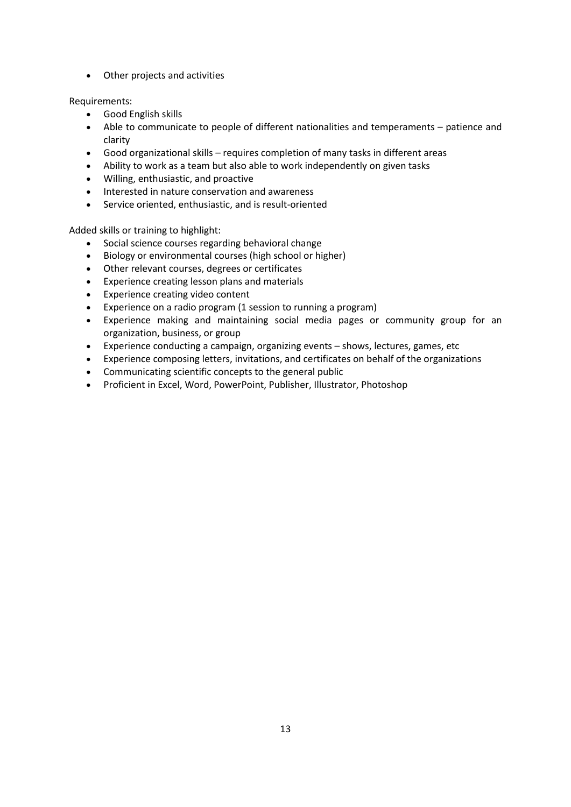• Other projects and activities

Requirements:

- Good English skills
- Able to communicate to people of different nationalities and temperaments patience and clarity
- Good organizational skills requires completion of many tasks in different areas
- Ability to work as a team but also able to work independently on given tasks
- Willing, enthusiastic, and proactive
- Interested in nature conservation and awareness
- Service oriented, enthusiastic, and is result-oriented

Added skills or training to highlight:

- Social science courses regarding behavioral change
- Biology or environmental courses (high school or higher)
- Other relevant courses, degrees or certificates
- Experience creating lesson plans and materials
- Experience creating video content
- Experience on a radio program (1 session to running a program)
- Experience making and maintaining social media pages or community group for an organization, business, or group
- Experience conducting a campaign, organizing events shows, lectures, games, etc
- Experience composing letters, invitations, and certificates on behalf of the organizations
- Communicating scientific concepts to the general public
- Proficient in Excel, Word, PowerPoint, Publisher, Illustrator, Photoshop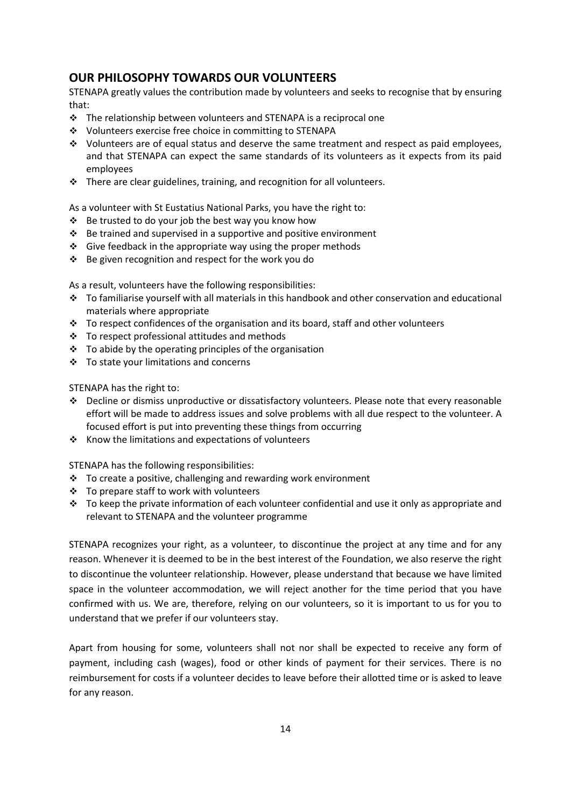# **OUR PHILOSOPHY TOWARDS OUR VOLUNTEERS**

STENAPA greatly values the contribution made by volunteers and seeks to recognise that by ensuring that:

- $\cdot \cdot$  The relationship between volunteers and STENAPA is a reciprocal one
- ❖ Volunteers exercise free choice in committing to STENAPA
- ❖ Volunteers are of equal status and deserve the same treatment and respect as paid employees, and that STENAPA can expect the same standards of its volunteers as it expects from its paid employees
- ❖ There are clear guidelines, training, and recognition for all volunteers.

As a volunteer with St Eustatius National Parks, you have the right to:

- ❖ Be trusted to do your job the best way you know how
- $\cdot \cdot$  Be trained and supervised in a supportive and positive environment
- ❖ Give feedback in the appropriate way using the proper methods
- ❖ Be given recognition and respect for the work you do

As a result, volunteers have the following responsibilities:

- ❖ To familiarise yourself with all materials in this handbook and other conservation and educational materials where appropriate
- ❖ To respect confidences of the organisation and its board, staff and other volunteers
- ❖ To respect professional attitudes and methods
- $\div$  To abide by the operating principles of the organisation
- ❖ To state your limitations and concerns

STENAPA has the right to:

- ❖ Decline or dismiss unproductive or dissatisfactory volunteers. Please note that every reasonable effort will be made to address issues and solve problems with all due respect to the volunteer. A focused effort is put into preventing these things from occurring
- ❖ Know the limitations and expectations of volunteers

STENAPA has the following responsibilities:

- ❖ To create a positive, challenging and rewarding work environment
- ❖ To prepare staff to work with volunteers
- ❖ To keep the private information of each volunteer confidential and use it only as appropriate and relevant to STENAPA and the volunteer programme

STENAPA recognizes your right, as a volunteer, to discontinue the project at any time and for any reason. Whenever it is deemed to be in the best interest of the Foundation, we also reserve the right to discontinue the volunteer relationship. However, please understand that because we have limited space in the volunteer accommodation, we will reject another for the time period that you have confirmed with us. We are, therefore, relying on our volunteers, so it is important to us for you to understand that we prefer if our volunteers stay.

Apart from housing for some, volunteers shall not nor shall be expected to receive any form of payment, including cash (wages), food or other kinds of payment for their services. There is no reimbursement for costs if a volunteer decides to leave before their allotted time or is asked to leave for any reason.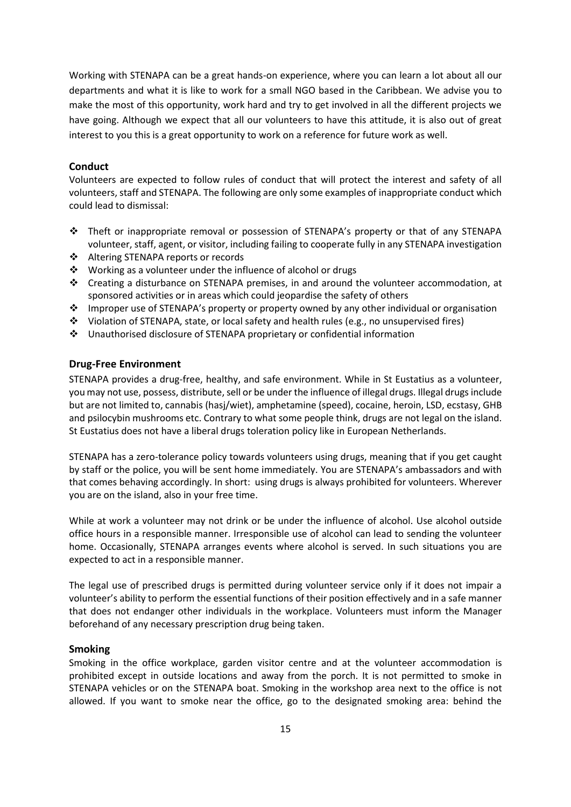Working with STENAPA can be a great hands-on experience, where you can learn a lot about all our departments and what it is like to work for a small NGO based in the Caribbean. We advise you to make the most of this opportunity, work hard and try to get involved in all the different projects we have going. Although we expect that all our volunteers to have this attitude, it is also out of great interest to you this is a great opportunity to work on a reference for future work as well.

#### **Conduct**

Volunteers are expected to follow rules of conduct that will protect the interest and safety of all volunteers, staff and STENAPA. The following are only some examples of inappropriate conduct which could lead to dismissal:

- ❖ Theft or inappropriate removal or possession of STENAPA's property or that of any STENAPA volunteer, staff, agent, or visitor, including failing to cooperate fully in any STENAPA investigation
- ❖ Altering STENAPA reports or records
- ❖ Working as a volunteer under the influence of alcohol or drugs
- ❖ Creating a disturbance on STENAPA premises, in and around the volunteer accommodation, at sponsored activities or in areas which could jeopardise the safety of others
- ❖ Improper use of STENAPA's property or property owned by any other individual or organisation
- ❖ Violation of STENAPA, state, or local safety and health rules (e.g., no unsupervised fires)
- ❖ Unauthorised disclosure of STENAPA proprietary or confidential information

## **Drug-Free Environment**

STENAPA provides a drug-free, healthy, and safe environment. While in St Eustatius as a volunteer, you may not use, possess, distribute, sell or be under the influence of illegal drugs. Illegal drugs include but are not limited to, cannabis (hasj/wiet), amphetamine (speed), cocaine, heroin, LSD, ecstasy, GHB and psilocybin mushrooms etc. Contrary to what some people think, drugs are not legal on the island. St Eustatius does not have a liberal drugs toleration policy like in European Netherlands.

STENAPA has a zero-tolerance policy towards volunteers using drugs, meaning that if you get caught by staff or the police, you will be sent home immediately. You are STENAPA's ambassadors and with that comes behaving accordingly. In short: using drugs is always prohibited for volunteers. Wherever you are on the island, also in your free time.

While at work a volunteer may not drink or be under the influence of alcohol. Use alcohol outside office hours in a responsible manner. Irresponsible use of alcohol can lead to sending the volunteer home. Occasionally, STENAPA arranges events where alcohol is served. In such situations you are expected to act in a responsible manner.

The legal use of prescribed drugs is permitted during volunteer service only if it does not impair a volunteer's ability to perform the essential functions of their position effectively and in a safe manner that does not endanger other individuals in the workplace. Volunteers must inform the Manager beforehand of any necessary prescription drug being taken.

#### **Smoking**

Smoking in the office workplace, garden visitor centre and at the volunteer accommodation is prohibited except in outside locations and away from the porch. It is not permitted to smoke in STENAPA vehicles or on the STENAPA boat. Smoking in the workshop area next to the office is not allowed. If you want to smoke near the office, go to the designated smoking area: behind the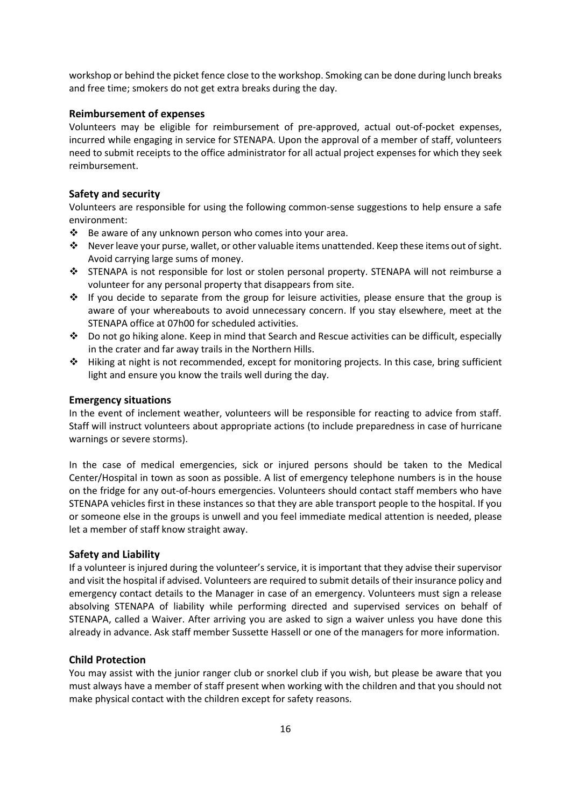workshop or behind the picket fence close to the workshop. Smoking can be done during lunch breaks and free time; smokers do not get extra breaks during the day.

#### **Reimbursement of expenses**

Volunteers may be eligible for reimbursement of pre-approved, actual out-of-pocket expenses, incurred while engaging in service for STENAPA. Upon the approval of a member of staff, volunteers need to submit receipts to the office administrator for all actual project expenses for which they seek reimbursement.

#### **Safety and security**

Volunteers are responsible for using the following common-sense suggestions to help ensure a safe environment:

- ❖ Be aware of any unknown person who comes into your area.
- ❖ Never leave your purse, wallet, or other valuable items unattended. Keep these items out of sight. Avoid carrying large sums of money.
- ❖ STENAPA is not responsible for lost or stolen personal property. STENAPA will not reimburse a volunteer for any personal property that disappears from site.
- $\div$  If you decide to separate from the group for leisure activities, please ensure that the group is aware of your whereabouts to avoid unnecessary concern. If you stay elsewhere, meet at the STENAPA office at 07h00 for scheduled activities.
- ❖ Do not go hiking alone. Keep in mind that Search and Rescue activities can be difficult, especially in the crater and far away trails in the Northern Hills.
- $\triangle$  Hiking at night is not recommended, except for monitoring projects. In this case, bring sufficient light and ensure you know the trails well during the day.

#### **Emergency situations**

In the event of inclement weather, volunteers will be responsible for reacting to advice from staff. Staff will instruct volunteers about appropriate actions (to include preparedness in case of hurricane warnings or severe storms).

In the case of medical emergencies, sick or injured persons should be taken to the Medical Center/Hospital in town as soon as possible. A list of emergency telephone numbers is in the house on the fridge for any out-of-hours emergencies. Volunteers should contact staff members who have STENAPA vehicles first in these instances so that they are able transport people to the hospital. If you or someone else in the groups is unwell and you feel immediate medical attention is needed, please let a member of staff know straight away.

#### **Safety and Liability**

If a volunteer is injured during the volunteer's service, it is important that they advise their supervisor and visit the hospital if advised. Volunteers are required to submit details of their insurance policy and emergency contact details to the Manager in case of an emergency. Volunteers must sign a release absolving STENAPA of liability while performing directed and supervised services on behalf of STENAPA, called a Waiver. After arriving you are asked to sign a waiver unless you have done this already in advance. Ask staff member Sussette Hassell or one of the managers for more information.

#### **Child Protection**

You may assist with the junior ranger club or snorkel club if you wish, but please be aware that you must always have a member of staff present when working with the children and that you should not make physical contact with the children except for safety reasons.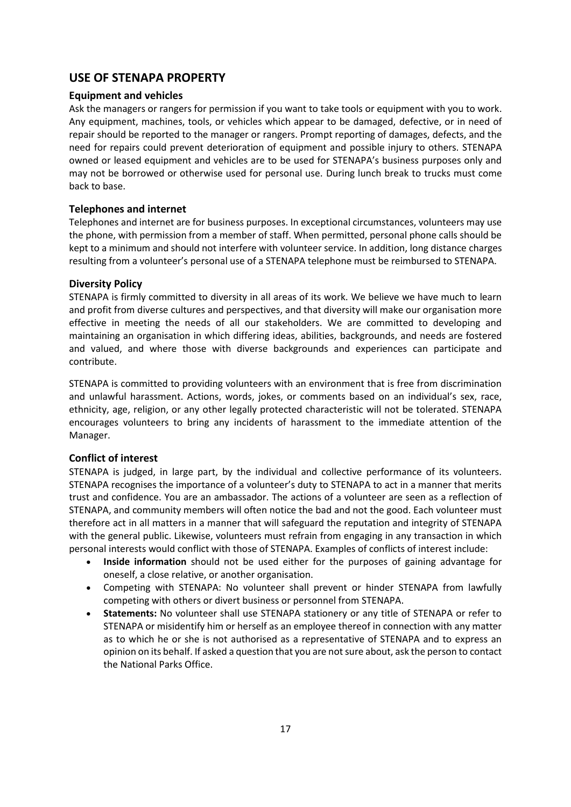# **USE OF STENAPA PROPERTY**

# **Equipment and vehicles**

Ask the managers or rangers for permission if you want to take tools or equipment with you to work. Any equipment, machines, tools, or vehicles which appear to be damaged, defective, or in need of repair should be reported to the manager or rangers. Prompt reporting of damages, defects, and the need for repairs could prevent deterioration of equipment and possible injury to others. STENAPA owned or leased equipment and vehicles are to be used for STENAPA's business purposes only and may not be borrowed or otherwise used for personal use. During lunch break to trucks must come back to base.

# **Telephones and internet**

Telephones and internet are for business purposes. In exceptional circumstances, volunteers may use the phone, with permission from a member of staff. When permitted, personal phone calls should be kept to a minimum and should not interfere with volunteer service. In addition, long distance charges resulting from a volunteer's personal use of a STENAPA telephone must be reimbursed to STENAPA.

## **Diversity Policy**

STENAPA is firmly committed to diversity in all areas of its work. We believe we have much to learn and profit from diverse cultures and perspectives, and that diversity will make our organisation more effective in meeting the needs of all our stakeholders. We are committed to developing and maintaining an organisation in which differing ideas, abilities, backgrounds, and needs are fostered and valued, and where those with diverse backgrounds and experiences can participate and contribute.

STENAPA is committed to providing volunteers with an environment that is free from discrimination and unlawful harassment. Actions, words, jokes, or comments based on an individual's sex, race, ethnicity, age, religion, or any other legally protected characteristic will not be tolerated. STENAPA encourages volunteers to bring any incidents of harassment to the immediate attention of the Manager.

## **Conflict of interest**

STENAPA is judged, in large part, by the individual and collective performance of its volunteers. STENAPA recognises the importance of a volunteer's duty to STENAPA to act in a manner that merits trust and confidence. You are an ambassador. The actions of a volunteer are seen as a reflection of STENAPA, and community members will often notice the bad and not the good. Each volunteer must therefore act in all matters in a manner that will safeguard the reputation and integrity of STENAPA with the general public. Likewise, volunteers must refrain from engaging in any transaction in which personal interests would conflict with those of STENAPA. Examples of conflicts of interest include:

- **Inside information** should not be used either for the purposes of gaining advantage for oneself, a close relative, or another organisation.
- Competing with STENAPA: No volunteer shall prevent or hinder STENAPA from lawfully competing with others or divert business or personnel from STENAPA.
- **Statements:** No volunteer shall use STENAPA stationery or any title of STENAPA or refer to STENAPA or misidentify him or herself as an employee thereof in connection with any matter as to which he or she is not authorised as a representative of STENAPA and to express an opinion on its behalf. If asked a question that you are not sure about, ask the person to contact the National Parks Office.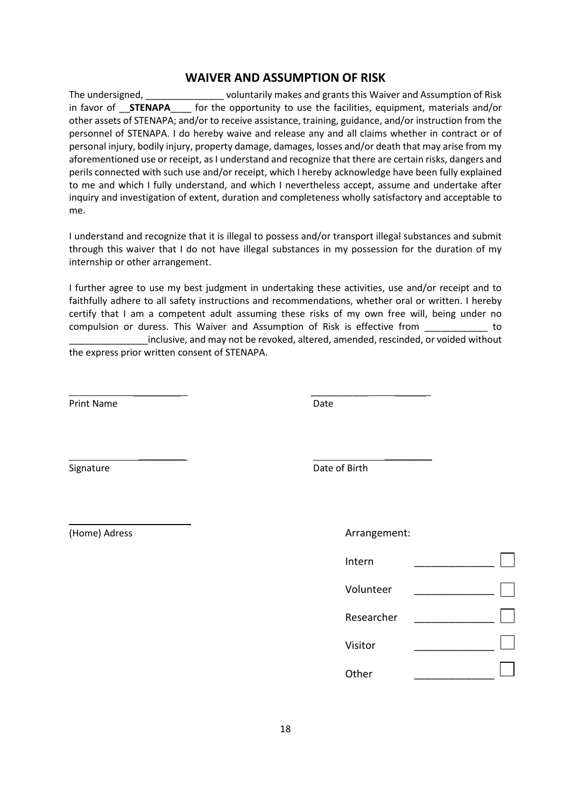# **WAIVER AND ASSUMPTION OF RISK**

The undersigned, \_\_\_\_\_\_\_\_\_\_\_\_\_\_\_ voluntarily makes and grants this Waiver and Assumption of Risk in favor of \_\_**STENAPA**\_\_\_\_ for the opportunity to use the facilities, equipment, materials and/or other assets of STENAPA; and/or to receive assistance, training, guidance, and/or instruction from the personnel of STENAPA. I do hereby waive and release any and all claims whether in contract or of personal injury, bodily injury, property damage, damages, losses and/or death that may arise from my aforementioned use or receipt, as I understand and recognize that there are certain risks, dangers and perils connected with such use and/or receipt, which I hereby acknowledge have been fully explained to me and which I fully understand, and which I nevertheless accept, assume and undertake after inquiry and investigation of extent, duration and completeness wholly satisfactory and acceptable to me.

I understand and recognize that it is illegal to possess and/or transport illegal substances and submit through this waiver that I do not have illegal substances in my possession for the duration of my internship or other arrangement.

I further agree to use my best judgment in undertaking these activities, use and/or receipt and to faithfully adhere to all safety instructions and recommendations, whether oral or written. I hereby certify that I am a competent adult assuming these risks of my own free will, being under no compulsion or duress. This Waiver and Assumption of Risk is effective from \_\_\_\_\_\_\_\_\_\_\_\_ to

inclusive, and may not be revoked, altered, amended, rescinded, or voided without the express prior written consent of STENAPA.

\_\_\_\_\_\_\_\_\_ \_\_\_\_\_\_\_\_\_\_\_ \_\_\_\_\_\_

\_\_\_\_\_\_\_\_\_ \_\_\_\_\_\_\_\_\_

Print Name Date

Signature Date of Birth

(Home) Adress

\_\_\_\_\_\_\_\_\_\_\_

| Arrangement: |  |
|--------------|--|
| Intern       |  |
| Volunteer    |  |
| Researcher   |  |
| Visitor      |  |
| Other        |  |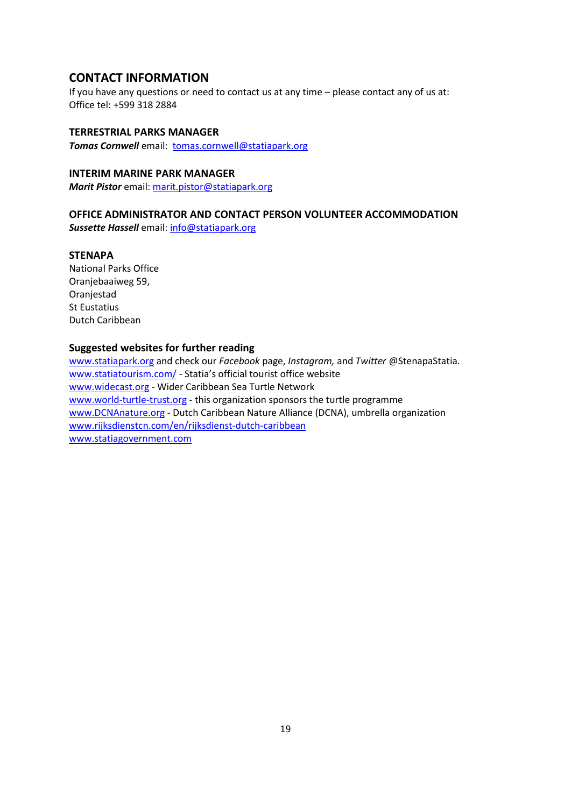# **CONTACT INFORMATION**

If you have any questions or need to contact us at any time – please contact any of us at: Office tel: +599 318 2884

#### **TERRESTRIAL PARKS MANAGER**

**Tomas Cornwell** email: [tomas.cornwell@statiapark.org](mailto:tomas.cornwell@statiapark.org)

# **INTERIM MARINE PARK MANAGER**

*Marit Pistor* email: [marit.pistor@statiapark.org](mailto:marit.pistor@statiapark.org)

# **OFFICE ADMINISTRATOR AND CONTACT PERSON VOLUNTEER ACCOMMODATION**

*Sussette Hassell* email: [info@statiapark.org](mailto:info@statiapark.org)

#### **STENAPA**

National Parks Office Oranjebaaiweg 59, Oranjestad St Eustatius Dutch Caribbean

## **Suggested websites for further reading**

[www.statiapark.org](http://www.statiapark.org/) and check our *Facebook* page, *Instagram,* and *Twitter* @StenapaStatia. www.statiatourism.com/ - Statia's official tourist office website [www.widecast.org](http://www.widecast.org/) - Wider Caribbean Sea Turtle Network [www.world-turtle-trust.org](http://www.world-turtle-trust.org/) - this organization sponsors the turtle programme [www.DCNAnature.org](http://www.dcnanature.org/) - Dutch Caribbean Nature Alliance (DCNA), umbrella organization [www.rijksdienstcn.com/en/rijksdienst-dutch-caribbean](http://www.rijksdienstcn.com/en/rijksdienst-dutch-caribbean) [www.statiagovernment.com](http://www.statiagovernment.com/)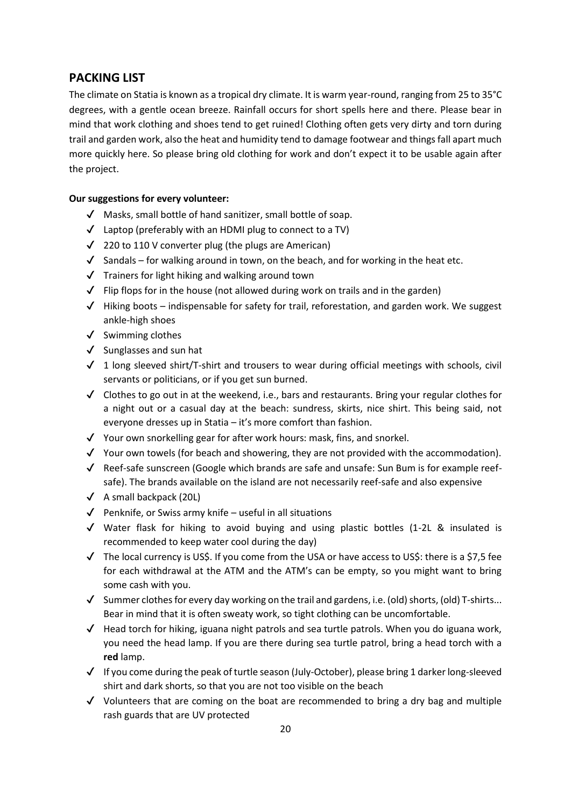# **PACKING LIST**

The climate on Statia is known as a tropical dry climate. It is warm year-round, ranging from 25 to 35°C degrees, with a gentle ocean breeze. Rainfall occurs for short spells here and there. Please bear in mind that work clothing and shoes tend to get ruined! Clothing often gets very dirty and torn during trail and garden work, also the heat and humidity tend to damage footwear and things fall apart much more quickly here. So please bring old clothing for work and don't expect it to be usable again after the project.

# **Our suggestions for every volunteer:**

- ✔ Masks, small bottle of hand sanitizer, small bottle of soap.
- $\checkmark$  Laptop (preferably with an HDMI plug to connect to a TV)
- ✔ 220 to 110 V converter plug (the plugs are American)
- $\checkmark$  Sandals for walking around in town, on the beach, and for working in the heat etc.
- ✔ Trainers for light hiking and walking around town
- $\checkmark$  Flip flops for in the house (not allowed during work on trails and in the garden)
- $\checkmark$  Hiking boots indispensable for safety for trail, reforestation, and garden work. We suggest ankle-high shoes
- ✔ Swimming clothes
- ✔ Sunglasses and sun hat
- $\checkmark$  1 long sleeved shirt/T-shirt and trousers to wear during official meetings with schools, civil servants or politicians, or if you get sun burned.
- $\checkmark$  Clothes to go out in at the weekend, i.e., bars and restaurants. Bring your regular clothes for a night out or a casual day at the beach: sundress, skirts, nice shirt. This being said, not everyone dresses up in Statia – it's more comfort than fashion.
- $\checkmark$  Your own snorkelling gear for after work hours: mask, fins, and snorkel.
- $\checkmark$  Your own towels (for beach and showering, they are not provided with the accommodation).
- $\checkmark$  Reef-safe sunscreen (Google which brands are safe and unsafe: Sun Bum is for example reefsafe). The brands available on the island are not necessarily reef-safe and also expensive
- $\checkmark$  A small backpack (20L)
- $\sqrt{\phantom{a}}$  Penknife, or Swiss army knife useful in all situations
- $\checkmark$  Water flask for hiking to avoid buying and using plastic bottles (1-2L & insulated is recommended to keep water cool during the day)
- $\checkmark$  The local currency is US\$. If you come from the USA or have access to US\$: there is a \$7,5 fee for each withdrawal at the ATM and the ATM's can be empty, so you might want to bring some cash with you.
- $\checkmark$  Summer clothes for every day working on the trail and gardens, i.e. (old) shorts, (old) T-shirts... Bear in mind that it is often sweaty work, so tight clothing can be uncomfortable.
- $\checkmark$  Head torch for hiking, iguana night patrols and sea turtle patrols. When you do iguana work, you need the head lamp. If you are there during sea turtle patrol, bring a head torch with a **red** lamp.
- $\checkmark$  If you come during the peak of turtle season (July-October), please bring 1 darker long-sleeved shirt and dark shorts, so that you are not too visible on the beach
- ✔ Volunteers that are coming on the boat are recommended to bring a dry bag and multiple rash guards that are UV protected